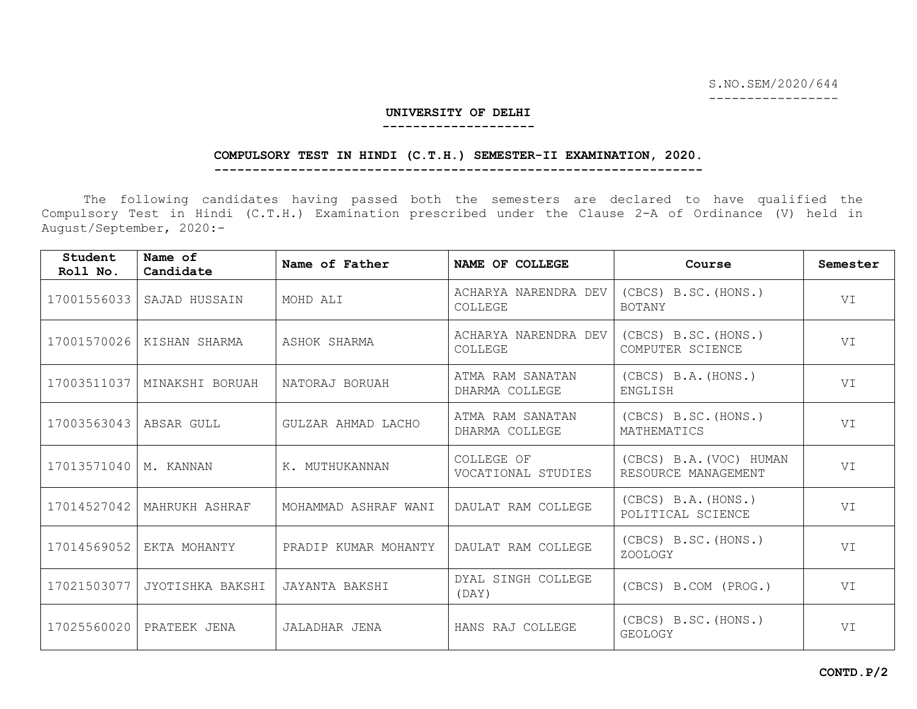S.NO.SEM/2020/644

-----------------

#### **UNIVERSITY OF DELHI --------------------**

# **COMPULSORY TEST IN HINDI (C.T.H.) SEMESTER-II EXAMINATION, 2020.**

**----------------------------------------------------------------**

The following candidates having passed both the semesters are declared to have qualified the Compulsory Test in Hindi (C.T.H.) Examination prescribed under the Clause 2-A of Ordinance (V) held in August/September, 2020:-

| Student<br>Roll No. | Name of<br>Candidate | Name of Father       | NAME OF COLLEGE                    | Course                                         | Semester |
|---------------------|----------------------|----------------------|------------------------------------|------------------------------------------------|----------|
| 17001556033         | SAJAD HUSSAIN        | MOHD ALI             | ACHARYA NARENDRA DEV<br>COLLEGE    | (CBCS) B.SC. (HONS.)<br><b>BOTANY</b>          | VI       |
| 17001570026         | KISHAN SHARMA        | ASHOK SHARMA         | ACHARYA NARENDRA DEV<br>COLLEGE    | (CBCS) B.SC. (HONS.)<br>COMPUTER SCIENCE       | VI       |
| 17003511037         | MINAKSHI BORUAH      | NATORAJ BORUAH       | ATMA RAM SANATAN<br>DHARMA COLLEGE | (CBCS) B.A. (HONS.)<br>ENGLISH                 | VI       |
| 17003563043         | ABSAR GULL           | GULZAR AHMAD LACHO   | ATMA RAM SANATAN<br>DHARMA COLLEGE | (CBCS) B.SC. (HONS.)<br>MATHEMATICS            | VI       |
| 17013571040         | M. KANNAN            | K. MUTHUKANNAN       | COLLEGE OF<br>VOCATIONAL STUDIES   | (CBCS) B.A. (VOC) HUMAN<br>RESOURCE MANAGEMENT | VI       |
| 17014527042         | MAHRUKH ASHRAF       | MOHAMMAD ASHRAF WANI | DAULAT RAM COLLEGE                 | (CBCS) B.A. (HONS.)<br>POLITICAL SCIENCE       | VI       |
| 17014569052         | EKTA MOHANTY         | PRADIP KUMAR MOHANTY | DAULAT RAM COLLEGE                 | (CBCS) B.SC. (HONS.)<br>ZOOLOGY                | VI       |
| 17021503077         | JYOTISHKA BAKSHI     | JAYANTA BAKSHI       | DYAL SINGH COLLEGE<br>(DAY)        | (CBCS) B.COM (PROG.)                           | VI       |
| 17025560020         | PRATEEK JENA         | JALADHAR JENA        | HANS RAJ COLLEGE                   | (CBCS) B.SC. (HONS.)<br><b>GEOLOGY</b>         | VT.      |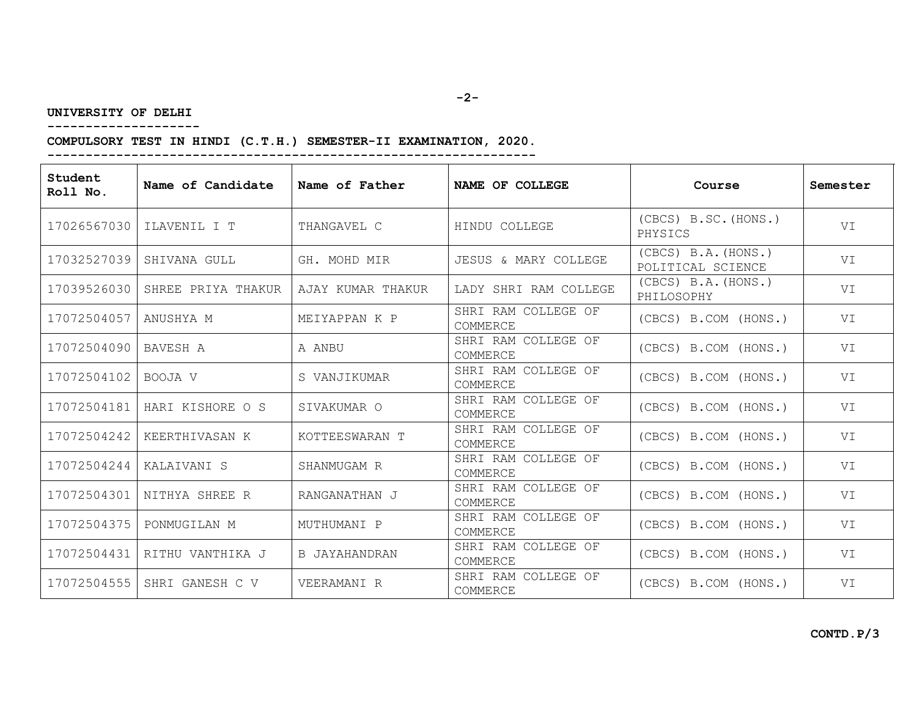# **UNIVERSITY OF DELHI**

**--------------------**

# **COMPULSORY TEST IN HINDI (C.T.H.) SEMESTER-II EXAMINATION, 2020. ----------------------------------------------------------------**

| Student<br>Roll No. | Name of Candidate  | Name of Father    | NAME OF COLLEGE                 | Course                                   | Semester |
|---------------------|--------------------|-------------------|---------------------------------|------------------------------------------|----------|
| 17026567030         | ILAVENIL I T       | THANGAVEL C       | HINDU COLLEGE                   | $(CBCS)$ B.SC. $(HONS.)$<br>PHYSICS      | VI       |
| 17032527039         | SHIVANA GULL       | GH. MOHD MIR      | JESUS & MARY COLLEGE            | (CBCS) B.A. (HONS.)<br>POLITICAL SCIENCE | VI       |
| 17039526030         | SHREE PRIYA THAKUR | AJAY KUMAR THAKUR | LADY SHRI RAM COLLEGE           | (CBCS) B.A. (HONS.)<br>PHILOSOPHY        | VI       |
| 17072504057         | ANUSHYA M          | MEIYAPPAN K P     | SHRI RAM COLLEGE OF<br>COMMERCE | (CBCS) B.COM (HONS.)                     | VI       |
| 17072504090         | BAVESH A           | A ANBU            | SHRI RAM COLLEGE OF<br>COMMERCE | (CBCS) B.COM (HONS.)                     | VI       |
| 17072504102         | BOOJA V            | S VANJIKUMAR      | SHRI RAM COLLEGE OF<br>COMMERCE | (CBCS) B.COM (HONS.)                     | VI       |
| 17072504181         | HARI KISHORE O S   | SIVAKUMAR O       | SHRI RAM COLLEGE OF<br>COMMERCE | (CBCS) B.COM (HONS.)                     | VI       |
| 17072504242         | KEERTHIVASAN K     | KOTTEESWARAN T    | SHRI RAM COLLEGE OF<br>COMMERCE | (CBCS) B.COM (HONS.)                     | VI       |
| 17072504244         | KALAIVANI S        | SHANMUGAM R       | SHRI RAM COLLEGE OF<br>COMMERCE | (CBCS) B.COM (HONS.)                     | VI       |
| 17072504301         | NITHYA SHREE R     | RANGANATHAN J     | SHRI RAM COLLEGE OF<br>COMMERCE | (CBCS) B.COM (HONS.)                     | VI       |
| 17072504375         | PONMUGILAN M       | MUTHUMANI P       | SHRI RAM COLLEGE OF<br>COMMERCE | (CBCS) B.COM (HONS.)                     | VI       |
| 17072504431         | RITHU VANTHIKA J   | B JAYAHANDRAN     | SHRI RAM COLLEGE OF<br>COMMERCE | (CBCS) B.COM (HONS.)                     | VI       |
| 17072504555         | SHRI GANESH C V    | VEERAMANI R       | SHRI RAM COLLEGE OF<br>COMMERCE | (CBCS) B.COM (HONS.)                     | VI       |

**CONTD.P/3**